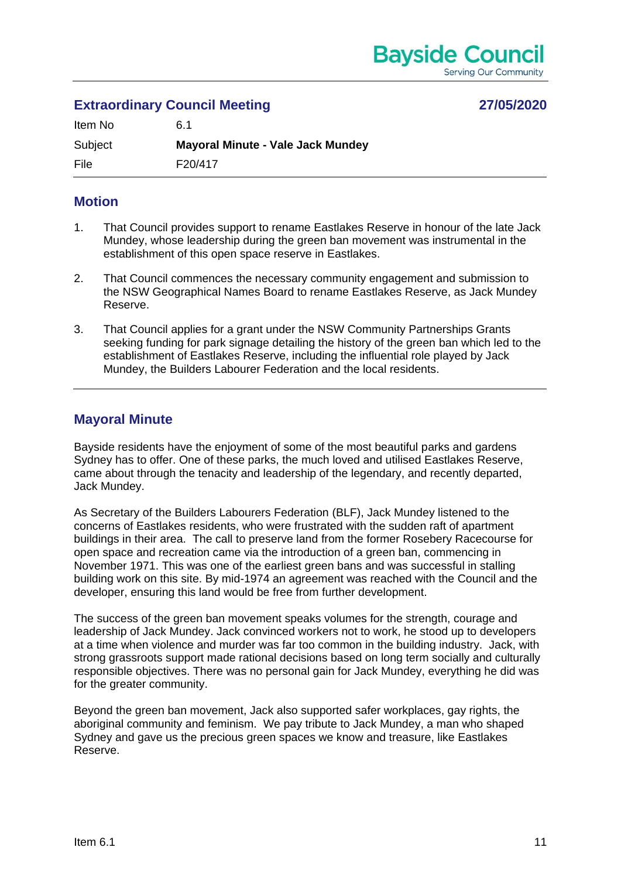# **Extraordinary Council Meeting 27/05/2020**

| Item No | 6.1                                      |
|---------|------------------------------------------|
| Subject | <b>Mayoral Minute - Vale Jack Mundey</b> |
| File    | F20/417                                  |

## **Motion**

- 1. That Council provides support to rename Eastlakes Reserve in honour of the late Jack Mundey, whose leadership during the green ban movement was instrumental in the establishment of this open space reserve in Eastlakes.
- 2. That Council commences the necessary community engagement and submission to the NSW Geographical Names Board to rename Eastlakes Reserve, as Jack Mundey Reserve.
- 3. That Council applies for a grant under the NSW Community Partnerships Grants seeking funding for park signage detailing the history of the green ban which led to the establishment of Eastlakes Reserve, including the influential role played by Jack Mundey, the Builders Labourer Federation and the local residents.

## **Mayoral Minute**

Bayside residents have the enjoyment of some of the most beautiful parks and gardens Sydney has to offer. One of these parks, the much loved and utilised Eastlakes Reserve, came about through the tenacity and leadership of the legendary, and recently departed, Jack Mundey.

As Secretary of the Builders Labourers Federation (BLF), Jack Mundey listened to the concerns of Eastlakes residents, who were frustrated with the sudden raft of apartment buildings in their area. The call to preserve land from the former Rosebery Racecourse for open space and recreation came via the introduction of a green ban, commencing in November 1971. This was one of the earliest green bans and was successful in stalling building work on this site. By mid-1974 an agreement was reached with the Council and the developer, ensuring this land would be free from further development.

The success of the green ban movement speaks volumes for the strength, courage and leadership of Jack Mundey. Jack convinced workers not to work, he stood up to developers at a time when violence and murder was far too common in the building industry. Jack, with strong grassroots support made rational decisions based on long term socially and culturally responsible objectives. There was no personal gain for Jack Mundey, everything he did was for the greater community.

Beyond the green ban movement, Jack also supported safer workplaces, gay rights, the aboriginal community and feminism. We pay tribute to Jack Mundey, a man who shaped Sydney and gave us the precious green spaces we know and treasure, like Eastlakes Reserve.